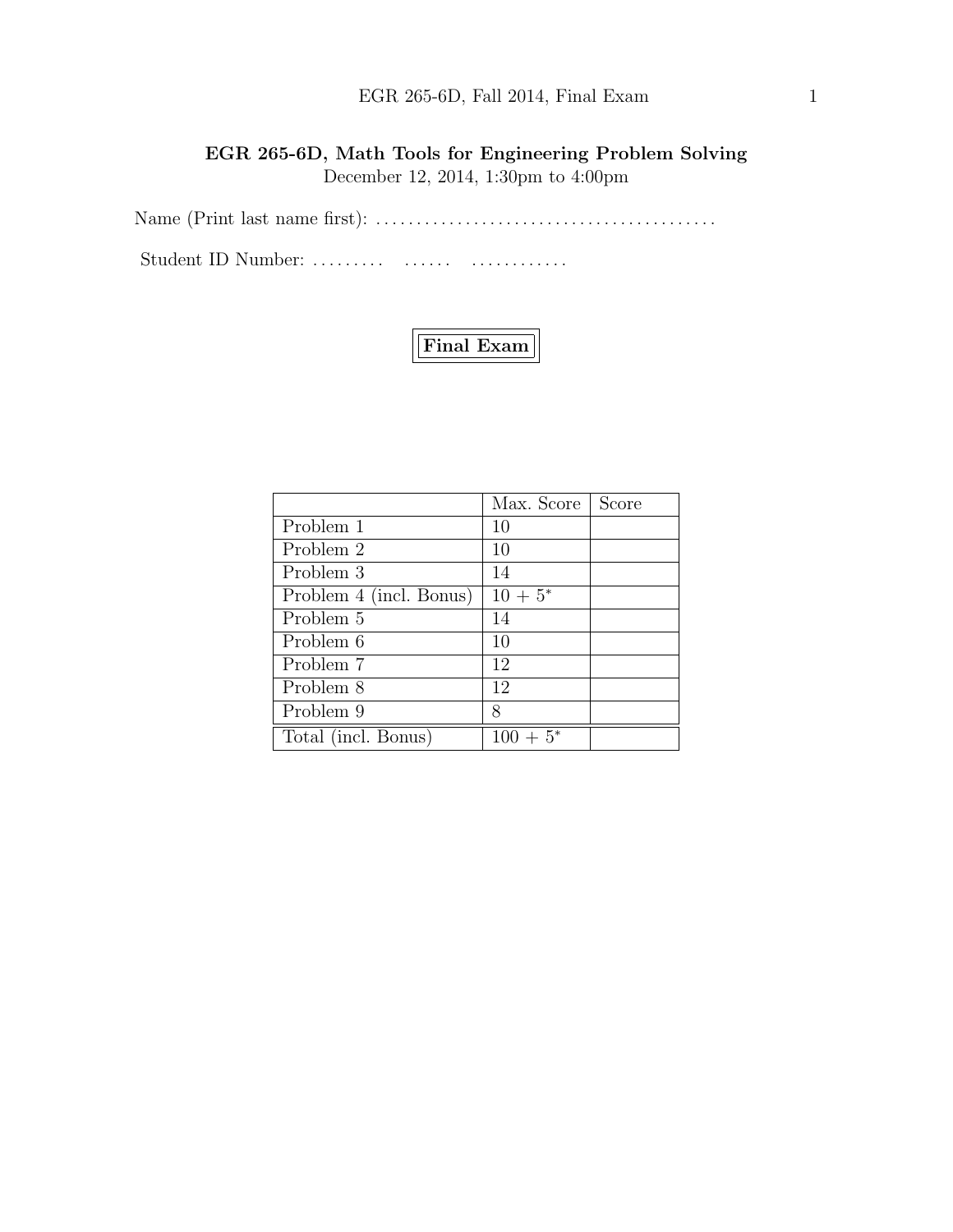## EGR 265-6D, Fall 2014, Final Exam 1

EGR 265-6D, Math Tools for Engineering Problem Solving December 12, 2014, 1:30pm to 4:00pm

Name (Print last name first): . . . . . . . . . . . . . . . . . . . . . . . . . . . . . . . . . . . . . . . . . .

Student ID Number: ......... ....... ................



|                         | Max. Score   | Score |
|-------------------------|--------------|-------|
| Problem 1               | 10           |       |
| Problem 2               | 10           |       |
| Problem 3               | 14           |       |
| Problem 4 (incl. Bonus) | $10 + 5^*$   |       |
| Problem 5               | 14           |       |
| Problem 6               | 10           |       |
| Problem 7               | 12           |       |
| Problem 8               | 12           |       |
| Problem 9               | 8            |       |
| Total (incl. Bonus)     | 100-<br>$5*$ |       |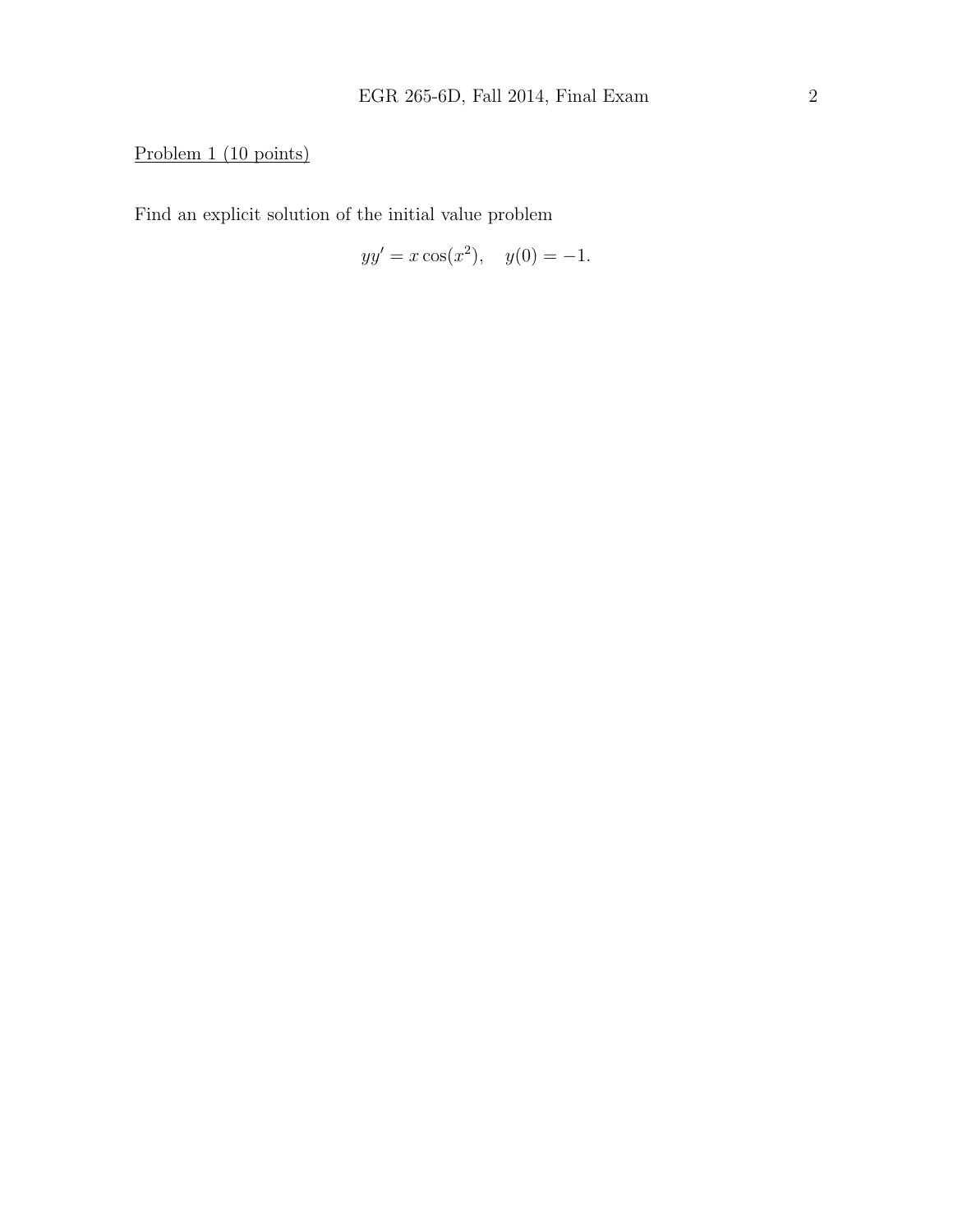# Problem 1 (10 points)

Find an explicit solution of the initial value problem

$$
yy' = x\cos(x^2), \quad y(0) = -1.
$$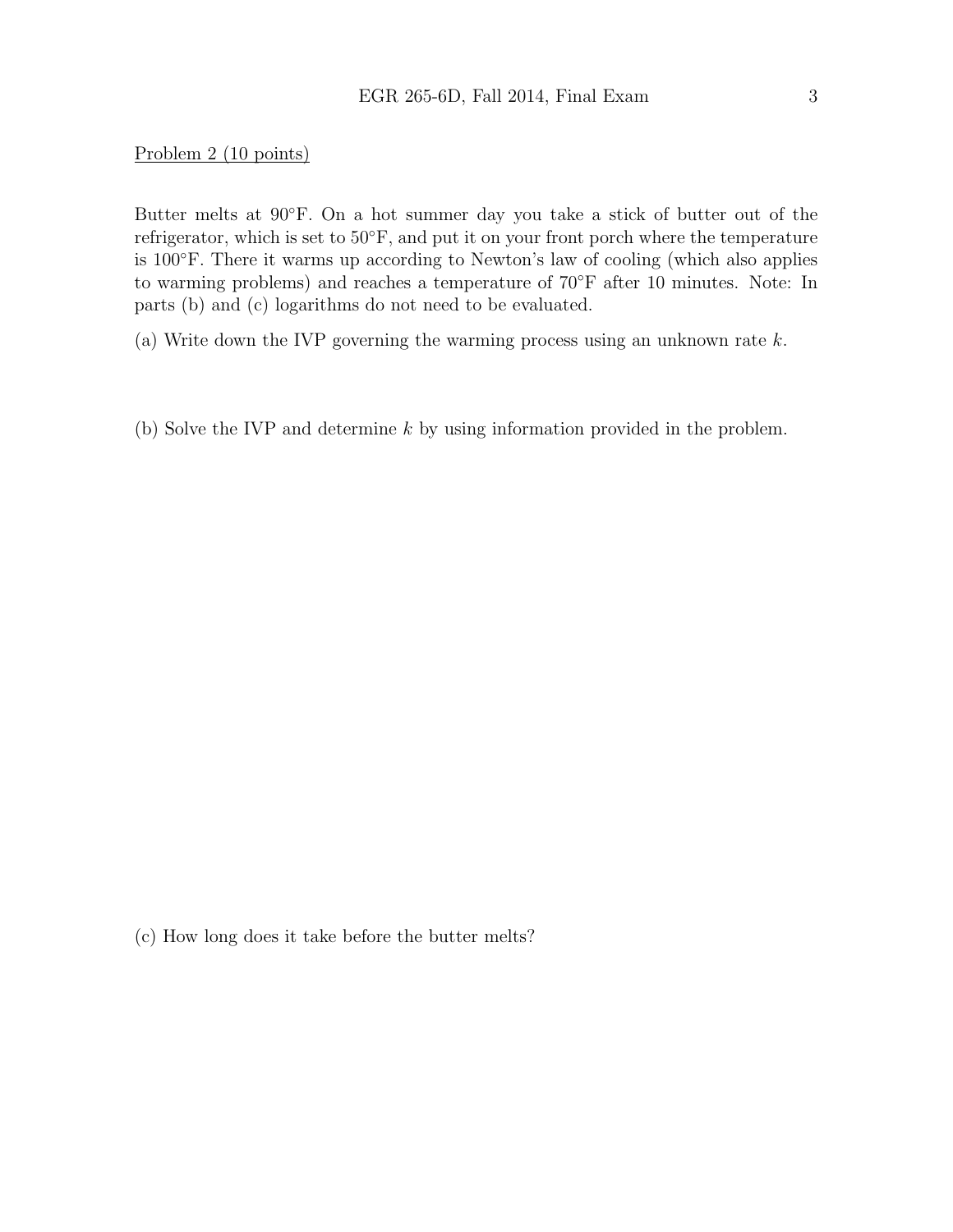Problem 2 (10 points)

Butter melts at 90◦F. On a hot summer day you take a stick of butter out of the refrigerator, which is set to 50◦F, and put it on your front porch where the temperature is 100◦F. There it warms up according to Newton's law of cooling (which also applies to warming problems) and reaches a temperature of 70◦F after 10 minutes. Note: In parts (b) and (c) logarithms do not need to be evaluated.

- (a) Write down the IVP governing the warming process using an unknown rate k.
- (b) Solve the IVP and determine k by using information provided in the problem.

(c) How long does it take before the butter melts?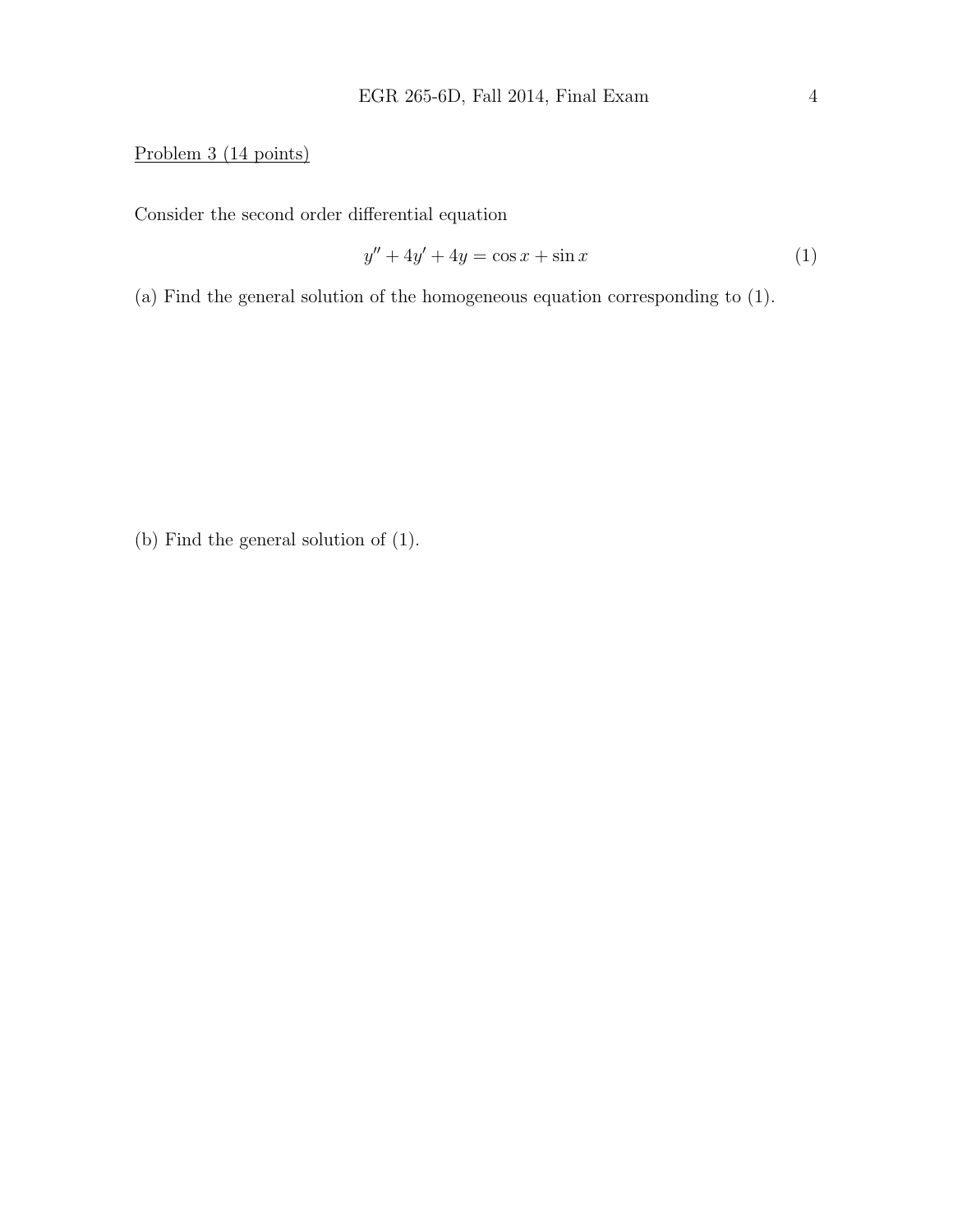## Problem 3 (14 points)

Consider the second order differential equation

$$
y'' + 4y' + 4y = \cos x + \sin x \tag{1}
$$

(a) Find the general solution of the homogeneous equation corresponding to (1).

(b) Find the general solution of (1).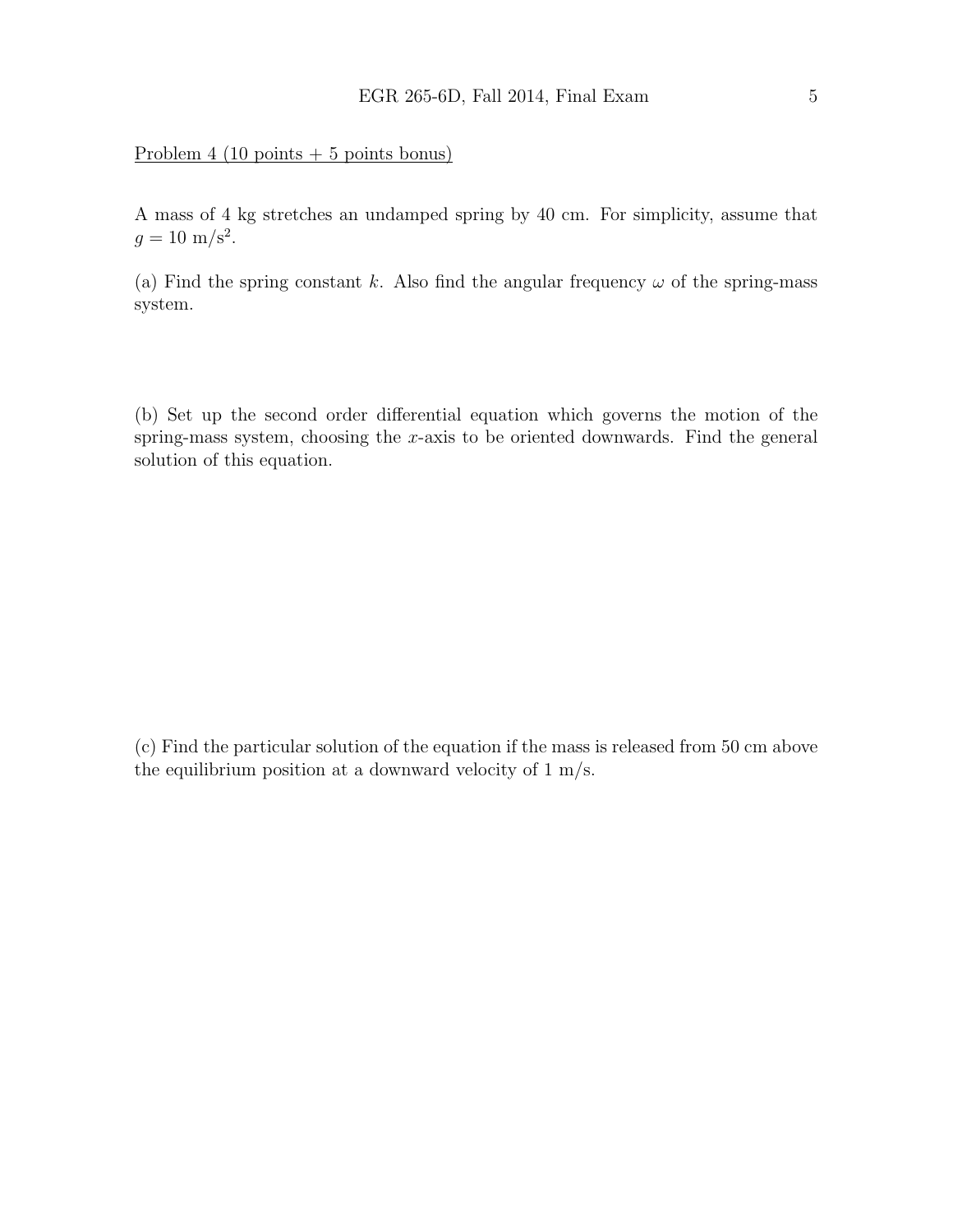### Problem 4 (10 points  $+ 5$  points bonus)

A mass of 4 kg stretches an undamped spring by 40 cm. For simplicity, assume that  $g = 10 \text{ m/s}^2$ .

(a) Find the spring constant k. Also find the angular frequency  $\omega$  of the spring-mass system.

(b) Set up the second order differential equation which governs the motion of the spring-mass system, choosing the x-axis to be oriented downwards. Find the general solution of this equation.

(c) Find the particular solution of the equation if the mass is released from 50 cm above the equilibrium position at a downward velocity of 1 m/s.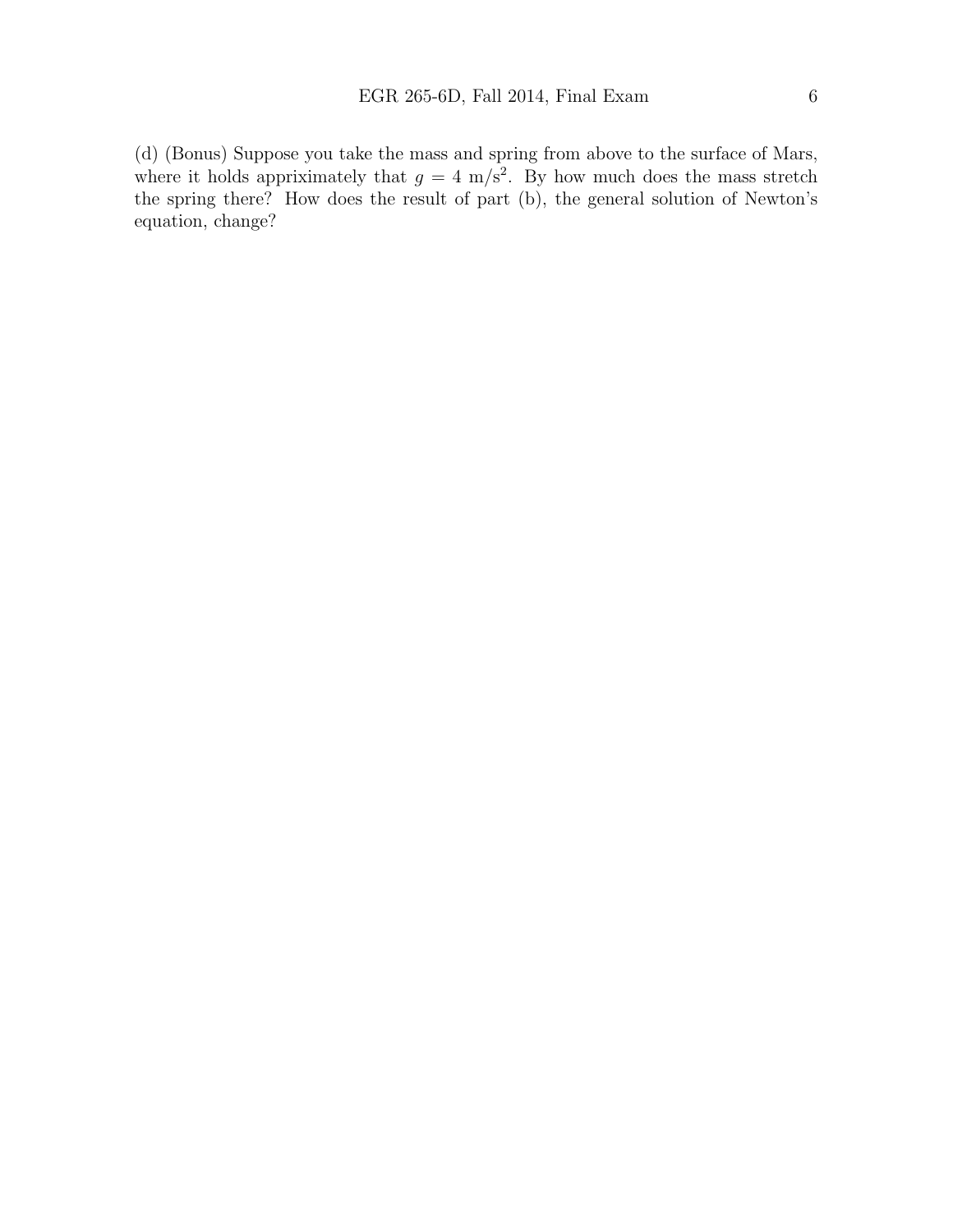where it holds appriximately that  $g = 4$  m/s<sup>2</sup>. By how much does the mass stretch the spring there? How does the result of part (b), the general solution of Newton's equation, change?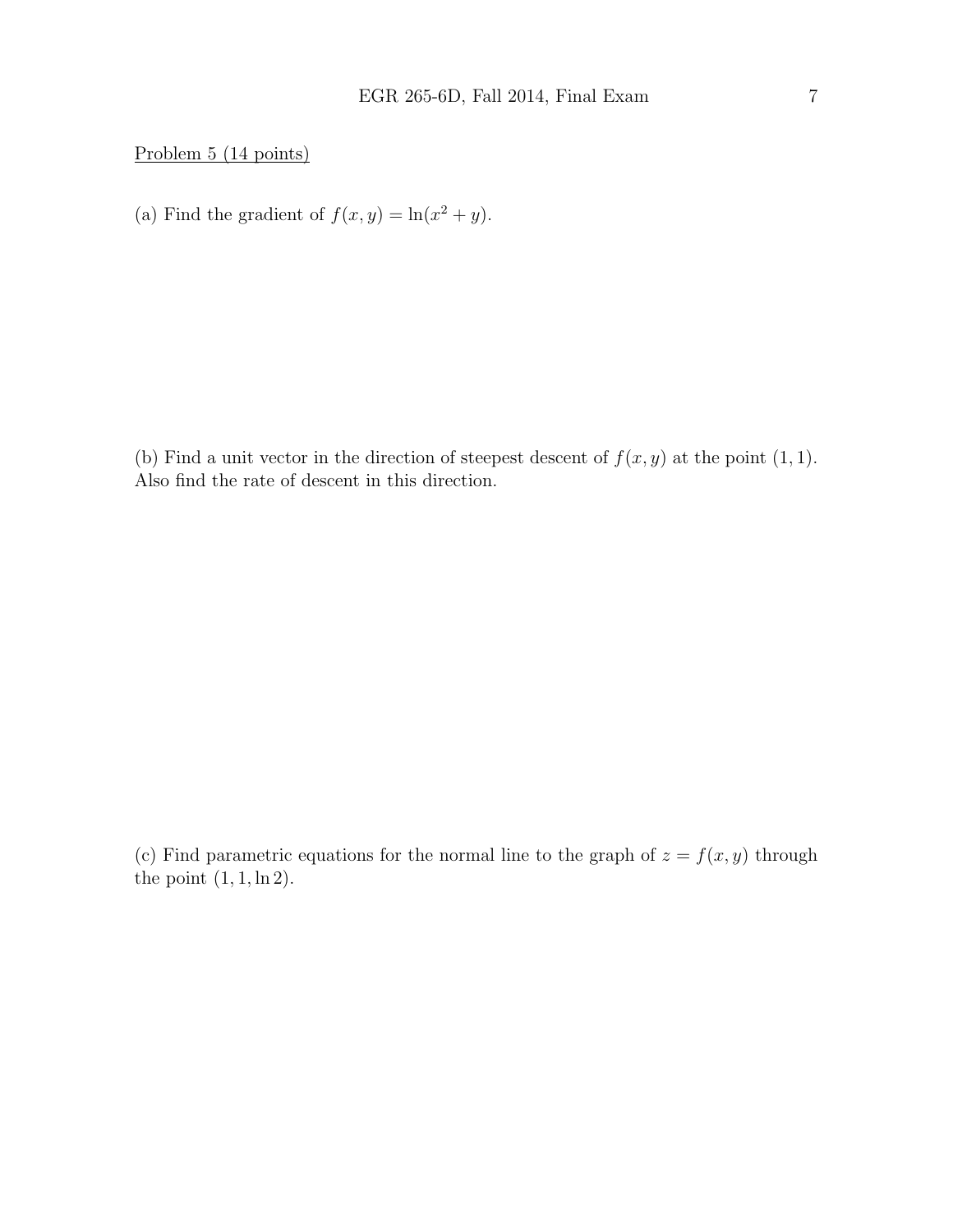Problem 5 (14 points)

(a) Find the gradient of  $f(x, y) = \ln(x^2 + y)$ .

(b) Find a unit vector in the direction of steepest descent of  $f(x, y)$  at the point  $(1, 1)$ . Also find the rate of descent in this direction.

(c) Find parametric equations for the normal line to the graph of  $z = f(x, y)$  through the point  $(1, 1, \ln 2)$ .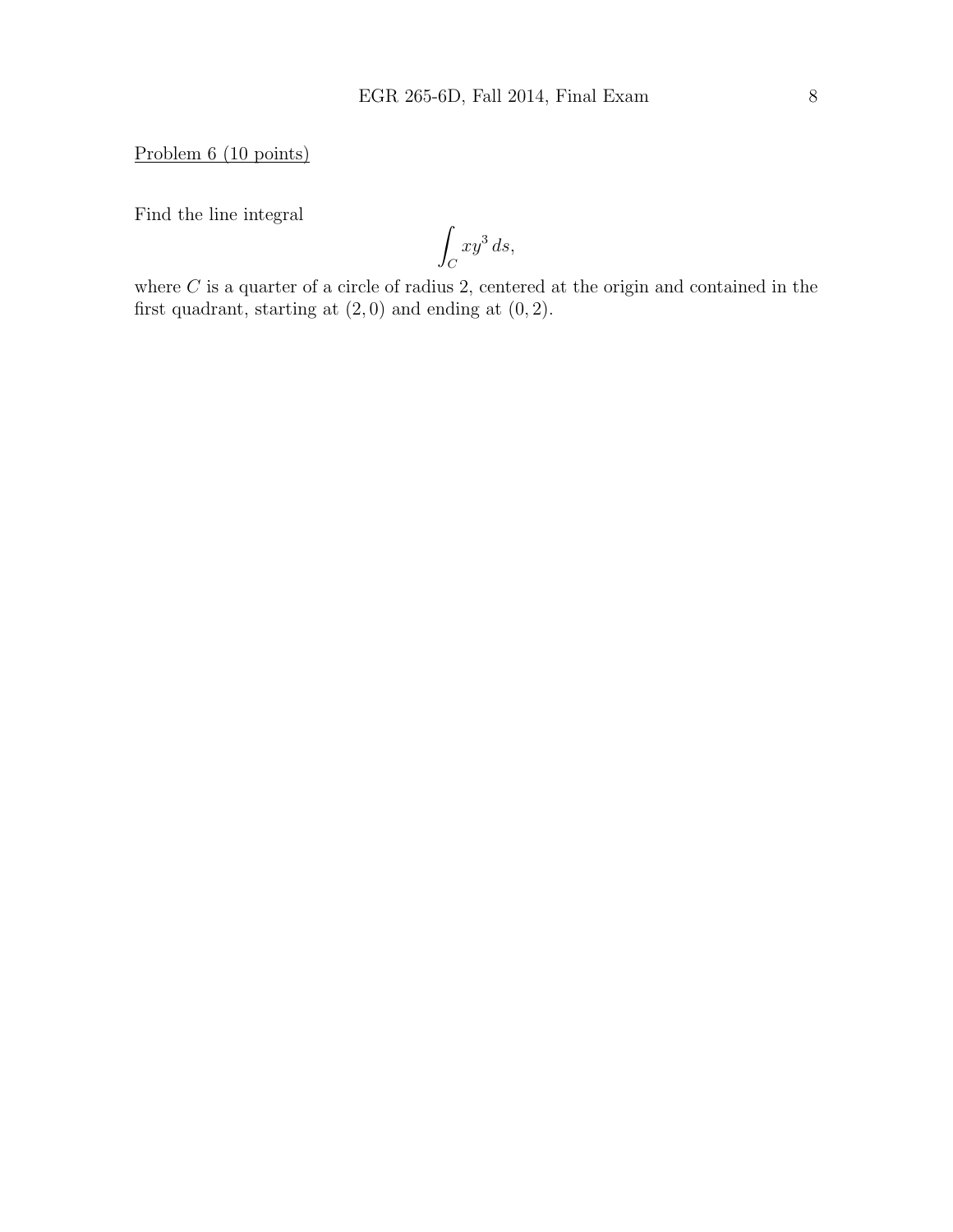Problem 6 (10 points)

Find the line integral

Z  $\mathcal{C}_{0}^{0}$  $xy^3 ds,$ 

where  $C$  is a quarter of a circle of radius 2, centered at the origin and contained in the first quadrant, starting at  $(2, 0)$  and ending at  $(0, 2)$ .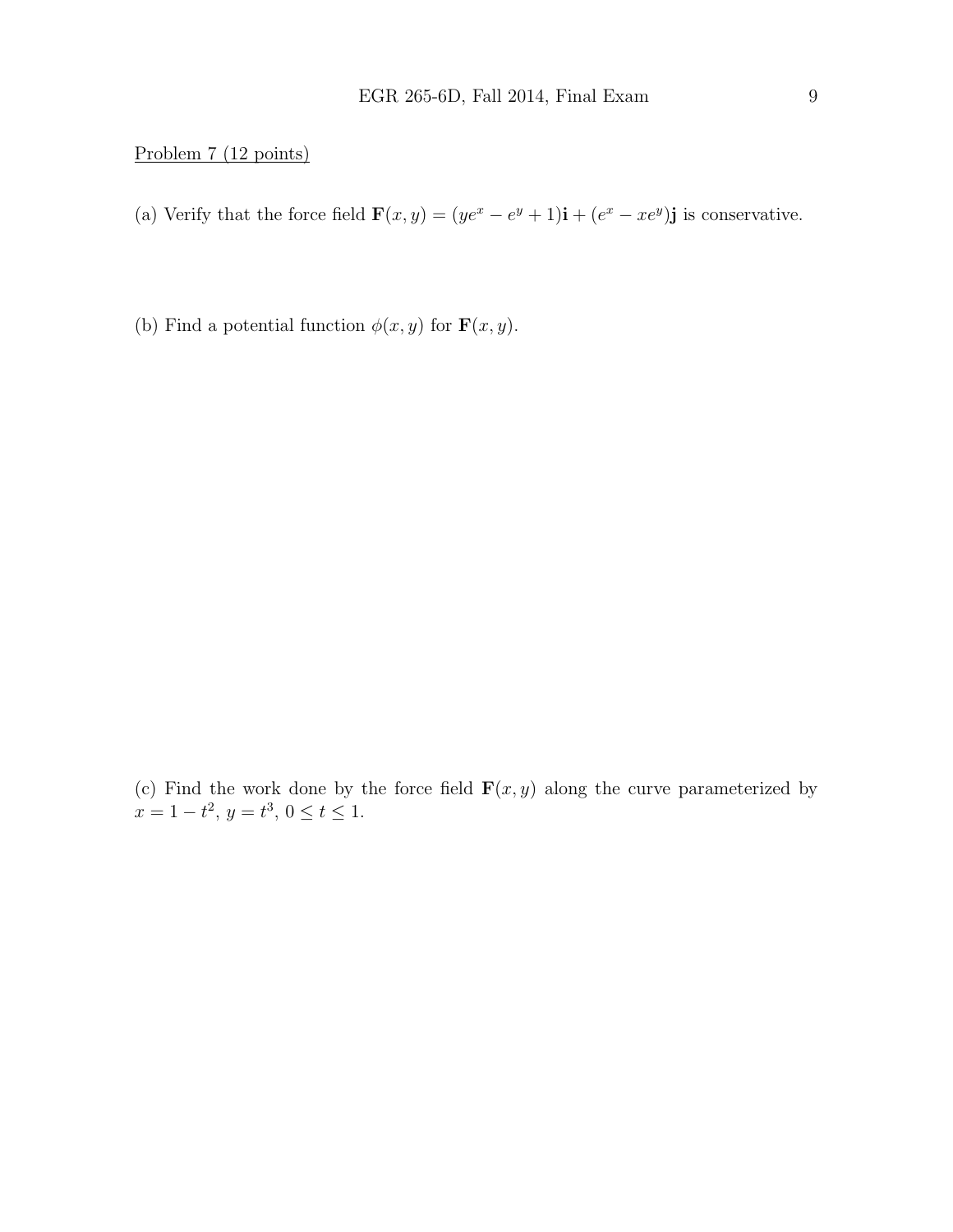### Problem 7 (12 points)

- (a) Verify that the force field  $\mathbf{F}(x, y) = (ye^x e^y + 1)\mathbf{i} + (e^x xe^y)\mathbf{j}$  is conservative.
- (b) Find a potential function  $\phi(x, y)$  for  $\mathbf{F}(x, y)$ .

(c) Find the work done by the force field  $\mathbf{F}(x, y)$  along the curve parameterized by  $x = 1 - t^2$ ,  $y = t^3$ ,  $0 \le t \le 1$ .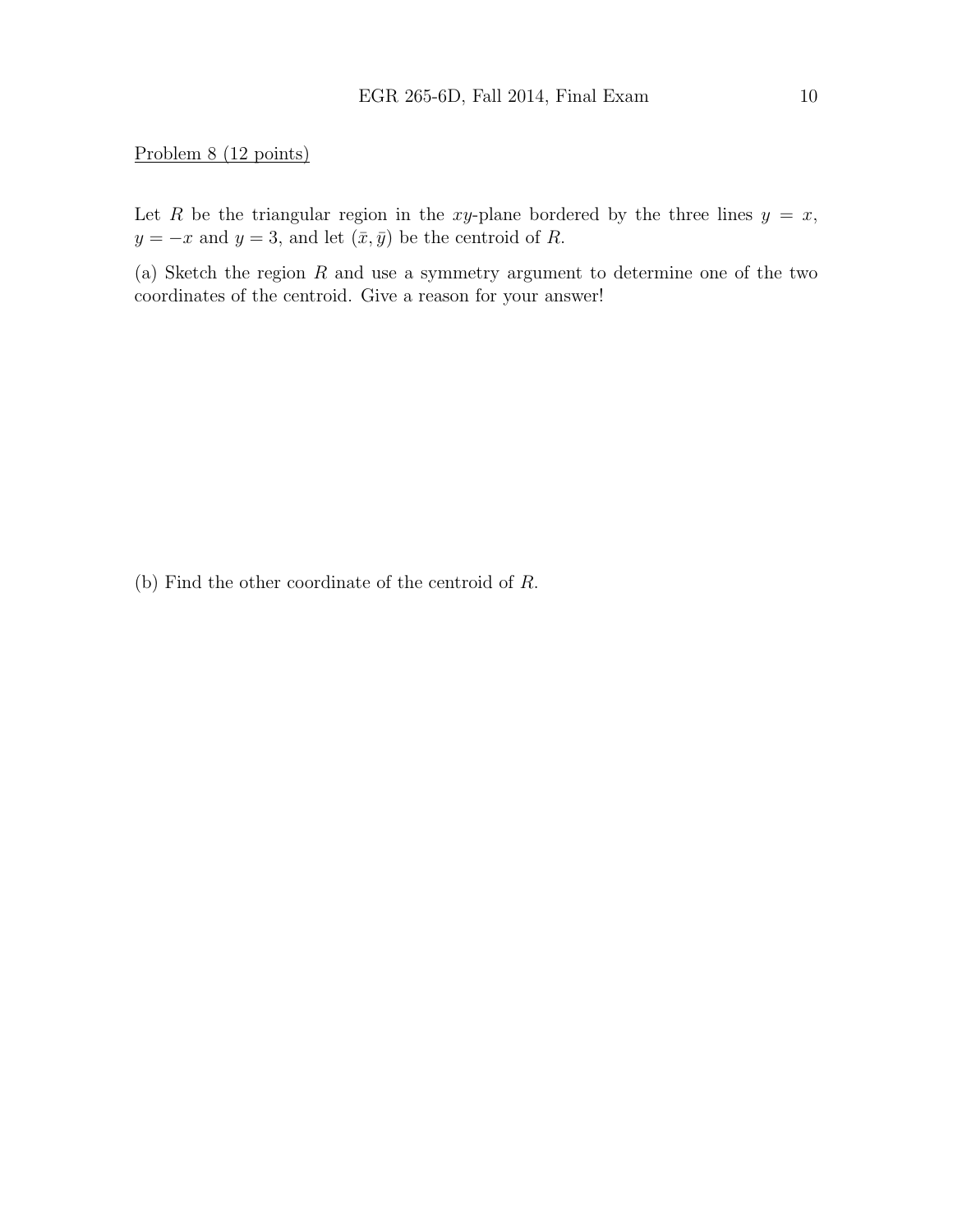#### Problem 8 (12 points)

Let R be the triangular region in the xy-plane bordered by the three lines  $y = x$ ,  $y = -x$  and  $y = 3$ , and let  $(\bar{x}, \bar{y})$  be the centroid of R.

(a) Sketch the region  $R$  and use a symmetry argument to determine one of the two coordinates of the centroid. Give a reason for your answer!

(b) Find the other coordinate of the centroid of R.